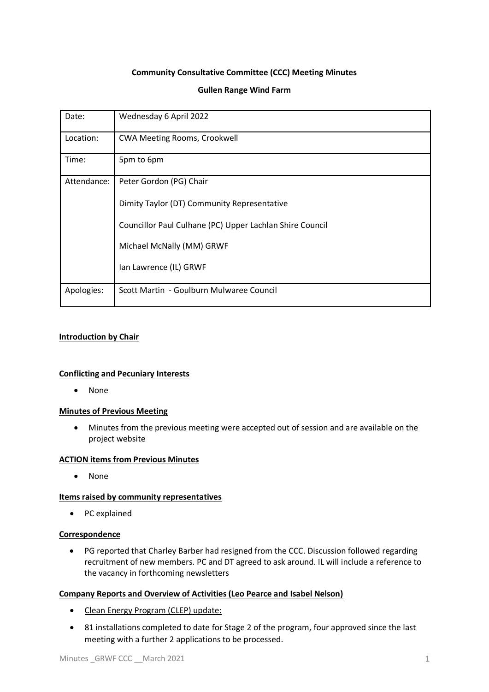# **Community Consultative Committee (CCC) Meeting Minutes**

### **Gullen Range Wind Farm**

| Date:       | Wednesday 6 April 2022                                   |
|-------------|----------------------------------------------------------|
| Location:   | <b>CWA Meeting Rooms, Crookwell</b>                      |
| Time:       | 5pm to 6pm                                               |
| Attendance: | Peter Gordon (PG) Chair                                  |
|             | Dimity Taylor (DT) Community Representative              |
|             | Councillor Paul Culhane (PC) Upper Lachlan Shire Council |
|             | Michael McNally (MM) GRWF                                |
|             | Ian Lawrence (IL) GRWF                                   |
| Apologies:  | Scott Martin - Goulburn Mulwaree Council                 |

### **Introduction by Chair**

### **Conflicting and Pecuniary Interests**

• None

### **Minutes of Previous Meeting**

• Minutes from the previous meeting were accepted out of session and are available on the project website

# **ACTION items from Previous Minutes**

• None

### **Items raised by community representatives**

• PC explained

#### **Correspondence**

• PG reported that Charley Barber had resigned from the CCC. Discussion followed regarding recruitment of new members. PC and DT agreed to ask around. IL will include a reference to the vacancy in forthcoming newsletters

### **Company Reports and Overview of Activities (Leo Pearce and Isabel Nelson)**

- Clean Energy Program (CLEP) update:
- 81 installations completed to date for Stage 2 of the program, four approved since the last meeting with a further 2 applications to be processed.